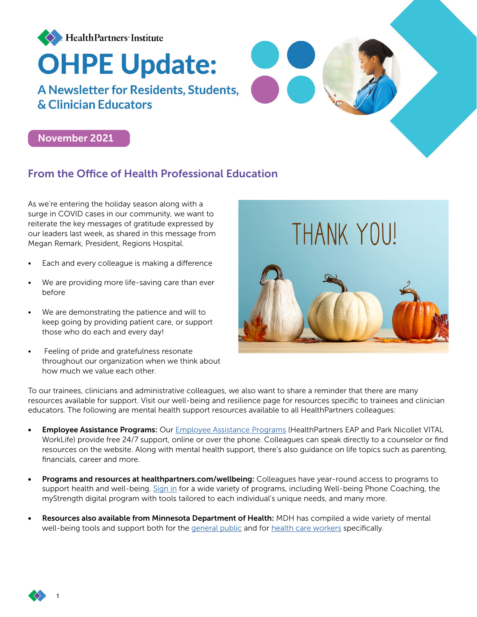

# November 2021

## From the Office of Health Professional Education

As we're entering the holiday season along with a surge in COVID cases in our community, we want to reiterate the key messages of gratitude expressed by our leaders last week, as shared in this message from Megan Remark, President, Regions Hospital.

- Each and every colleague is making a difference
- We are providing more life-saving care than ever before
- We are demonstrating the patience and will to keep going by providing patient care, or support those who do each and every day!
- Feeling of pride and gratefulness resonate throughout our organization when we think about how much we value each other.



To our trainees, clinicians and administrative colleagues, we also want to share a reminder that there are many resources available for support. Visit our well-being and resilience page for resources specific to trainees and clinician educators. The following are mental health support resources available to all HealthPartners colleagues:

- **Employee Assistance Programs:** Our [Employee Assistance Programs](https://nam02.safelinks.protection.outlook.com/?url=https%3A%2F%2Fs595751418.t.en25.com%2Fe%2Fer%3Fs%3D595751418%26lid%3D5304%26elqTrackId%3DEC7D574B0B30E2AE2911BFB6D66C604D%26elq%3D27bb136993ed4e3db87cc2e0008c36ff%26elqaid%3D4234%26elqat%3D1&data=04%7C01%7Cpratakshya.x.bhandari%40healthpartners.com%7Cc565826410cb40493a4e08d9ab749bdf%7C9539230a521345429ca6b0ec58c41a4d%7C0%7C0%7C637729339597143005%7CUnknown%7CTWFpbGZsb3d8eyJWIjoiMC4wLjAwMDAiLCJQIjoiV2luMzIiLCJBTiI6Ik1haWwiLCJXVCI6Mn0%3D%7C3000&sdata=od5wJdFo1eMhWVPA01%2FhojNtQkzk22d%2Fwj0mBEuR1kU%3D&reserved=0) (HealthPartners EAP and Park Nicollet VITAL WorkLife) provide free 24/7 support, online or over the phone. Colleagues can speak directly to a counselor or find resources on the website. Along with mental health support, there's also guidance on life topics such as parenting, financials, career and more.
- Programs and resources at healthpartners.com/wellbeing: Colleagues have year-round access to programs to support health and well-being. [Sign in](https://www.healthpartners.com/wellbeing-login/) for a wide variety of programs, including Well-being Phone Coaching, the myStrength digital program with tools tailored to each individual's unique needs, and many more.
- Resources also available from Minnesota Department of Health: MDH has compiled a wide variety of mental well-being tools and support both for the [general public](https://nam02.safelinks.protection.outlook.com/?url=https%3A%2F%2Fs595751418.t.en25.com%2Fe%2Fer%3Fs%3D595751418%26lid%3D5687%26elqTrackId%3D5AA638E4D29F3D7EEE0B2F1F5BC2C51A%26elq%3D27bb136993ed4e3db87cc2e0008c36ff%26elqaid%3D4234%26elqat%3D1&data=04%7C01%7Cpratakshya.x.bhandari%40healthpartners.com%7Cc565826410cb40493a4e08d9ab749bdf%7C9539230a521345429ca6b0ec58c41a4d%7C0%7C0%7C637729339597143005%7CUnknown%7CTWFpbGZsb3d8eyJWIjoiMC4wLjAwMDAiLCJQIjoiV2luMzIiLCJBTiI6Ik1haWwiLCJXVCI6Mn0%3D%7C3000&sdata=P8cOE1kZeOKcVxxnc%2BDvh34dnmDqni9SIx%2Bl0IZgGw8%3D&reserved=0) and for [health care workers](https://nam02.safelinks.protection.outlook.com/?url=https%3A%2F%2Fs595751418.t.en25.com%2Fe%2Fer%3Fs%3D595751418%26lid%3D5686%26elqTrackId%3DF283D7700BF3D7302CBCDACA11BDE4ED%26elq%3D27bb136993ed4e3db87cc2e0008c36ff%26elqaid%3D4234%26elqat%3D1&data=04%7C01%7Cpratakshya.x.bhandari%40healthpartners.com%7Cc565826410cb40493a4e08d9ab749bdf%7C9539230a521345429ca6b0ec58c41a4d%7C0%7C0%7C637729339597153000%7CUnknown%7CTWFpbGZsb3d8eyJWIjoiMC4wLjAwMDAiLCJQIjoiV2luMzIiLCJBTiI6Ik1haWwiLCJXVCI6Mn0%3D%7C3000&sdata=qMs7xXSiBJvInRbeiaDCsW6QjVbRRD5X%2FE205zWTWLA%3D&reserved=0) specifically.

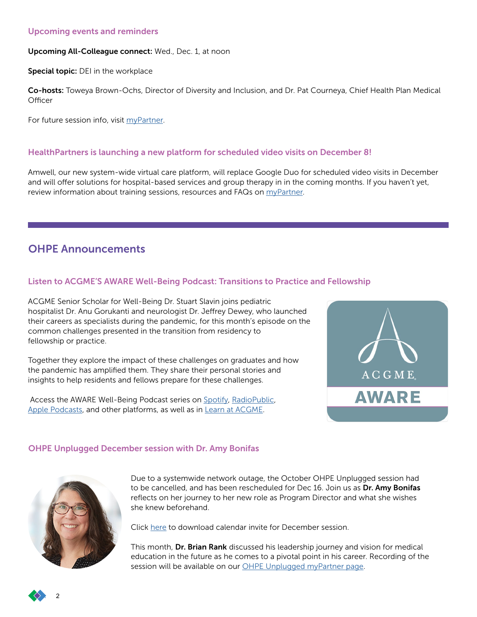### Upcoming events and reminders

#### Upcoming All-Colleague connect: Wed., Dec. 1, at noon

Special topic: DEI in the workplace

Co-hosts: Toweya Brown-Ochs, Director of Diversity and Inclusion, and Dr. Pat Courneya, Chief Health Plan Medical **Officer** 

For future session info, visit [myPartner](https://intranet.healthpartners.com/All-Colleague-Connect/Pages/default.aspx).

### HealthPartners is launching a new platform for scheduled video visits on December 8!

Amwell, our new system-wide virtual care platform, will replace Google Duo for scheduled video visits in December and will offer solutions for hospital-based services and group therapy in in the coming months. If you haven't yet, review information about training sessions, resources and FAQs on *myPartner*.

## OHPE Announcements

## Listen to ACGME'S AWARE Well-Being Podcast: Transitions to Practice and Fellowship

ACGME Senior Scholar for Well-Being Dr. Stuart Slavin joins pediatric hospitalist Dr. Anu Gorukanti and neurologist Dr. Jeffrey Dewey, who launched their careers as specialists during the pandemic, for this month's episode on the common challenges presented in the transition from residency to fellowship or practice.

Together they explore the impact of these challenges on graduates and how the pandemic has amplified them. They share their personal stories and insights to help residents and fellows prepare for these challenges.

Access the AWARE Well-Being Podcast series on [Spotify,](https://nam02.safelinks.protection.outlook.com/?url=https%3A%2F%2Fopen.spotify.com%2Fshow%2F6gJjH5kbk6CoxmtdIGXhqw&data=04%7C01%7CPratakshya.X.Bhandari%40HealthPartners.Com%7Ca2340e25f536480985ee08d9a86bc573%7C9539230a521345429ca6b0ec58c41a4d%7C0%7C0%7C637726003131509793%7CUnknown%7CTWFpbGZsb3d8eyJWIjoiMC4wLjAwMDAiLCJQIjoiV2luMzIiLCJBTiI6Ik1haWwiLCJXVCI6Mn0%3D%7C3000&sdata=qHzkI4xrrzSySXbV%2Fk8yVcsVL2RKQSExYyUuJz2Ny4k%3D&reserved=0) [RadioPublic,](https://nam02.safelinks.protection.outlook.com/?url=https%3A%2F%2Fradiopublic.com%2Facgme-aware-wellbeing-podcasts-WYpmlk&data=04%7C01%7CPratakshya.X.Bhandari%40HealthPartners.Com%7Ca2340e25f536480985ee08d9a86bc573%7C9539230a521345429ca6b0ec58c41a4d%7C0%7C0%7C637726003131509793%7CUnknown%7CTWFpbGZsb3d8eyJWIjoiMC4wLjAwMDAiLCJQIjoiV2luMzIiLCJBTiI6Ik1haWwiLCJXVCI6Mn0%3D%7C3000&sdata=2cQ3PHgoJp5FhwbFPPLiSIjXJ9ozbKvWRL%2BkDJ3hb7g%3D&reserved=0) [Apple Podcasts,](https://podcasts.apple.com/us/podcast/acgme-aware-well-being-podcasts/id1547862312) and other platforms, as well as in [Learn at ACGME](https://nam02.safelinks.protection.outlook.com/?url=http%3A%2F%2Fdl.acgme.org%2F&data=04%7C01%7CPratakshya.X.Bhandari%40HealthPartners.Com%7Ca2340e25f536480985ee08d9a86bc573%7C9539230a521345429ca6b0ec58c41a4d%7C0%7C0%7C637726003131519789%7CUnknown%7CTWFpbGZsb3d8eyJWIjoiMC4wLjAwMDAiLCJQIjoiV2luMzIiLCJBTiI6Ik1haWwiLCJXVCI6Mn0%3D%7C3000&sdata=A9mBCnNujJJg7kjPzkwTA6QXsFF5yfpgXifOb72LKcU%3D&reserved=0).



## OHPE Unplugged December session with Dr. Amy Bonifas



Due to a systemwide network outage, the October OHPE Unplugged session had to be cancelled, and has been rescheduled for Dec 16. Join us as Dr. Amy Bonifas reflects on her journey to her new role as Program Director and what she wishes she knew beforehand.

Click [here](https://intranet.healthpartners.com/Clinical-Educator-Trainee-Resources/Documents/OHPE%20unplugged%20december.ics?csf=1&e=dt3hOi) to download calendar invite for December session.

This month, Dr. Brian Rank discussed his leadership journey and vision for medical education in the future as he comes to a pivotal point in his career. Recording of the session will be available on our [OHPE Unplugged myPartner page.](https://intranet.healthpartners.com/Clinical-Educator-Trainee-Resources/Pages/OHPE-Unplugged.aspx)

2